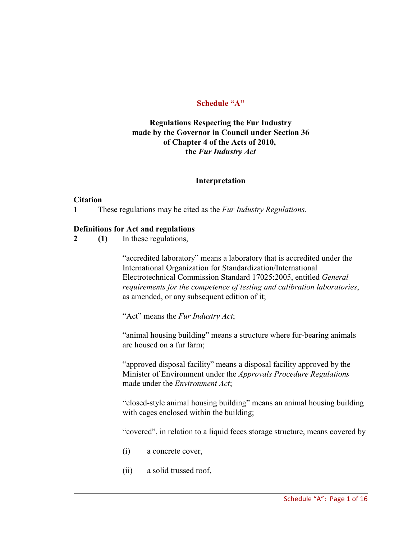## **Schedule "A"**

## **Regulations Respecting the Fur Industry made by the Governor in Council under Section 36 of Chapter 4 of the Acts of 2010, the** *Fur Industry Act*

#### **Interpretation**

#### **Citation**

**1** These regulations may be cited as the *Fur Industry Regulations*.

#### **Definitions for Act and regulations**

**2 (1)** In these regulations,

"accredited laboratory" means a laboratory that is accredited under the International Organization for Standardization/International Electrotechnical Commission Standard 17025:2005, entitled *General requirements for the competence of testing and calibration laboratories*, as amended, or any subsequent edition of it;

"Act" means the *Fur Industry Act*;

"animal housing building" means a structure where fur-bearing animals are housed on a fur farm;

"approved disposal facility" means a disposal facility approved by the Minister of Environment under the *Approvals Procedure Regulations* made under the *Environment Act*;

"closed-style animal housing building" means an animal housing building with cages enclosed within the building;

"covered", in relation to a liquid feces storage structure, means covered by

- (i) a concrete cover,
- (ii) a solid trussed roof,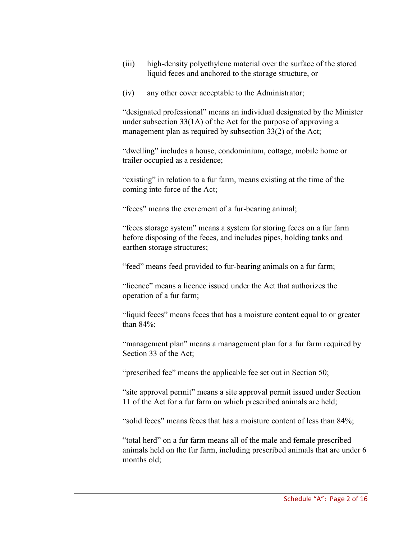- (iii) high-density polyethylene material over the surface of the stored liquid feces and anchored to the storage structure, or
- (iv) any other cover acceptable to the Administrator;

"designated professional" means an individual designated by the Minister under subsection 33(1A) of the Act for the purpose of approving a management plan as required by subsection 33(2) of the Act;

"dwelling" includes a house, condominium, cottage, mobile home or trailer occupied as a residence;

"existing" in relation to a fur farm, means existing at the time of the coming into force of the Act;

"feces" means the excrement of a fur-bearing animal;

"feces storage system" means a system for storing feces on a fur farm before disposing of the feces, and includes pipes, holding tanks and earthen storage structures;

"feed" means feed provided to fur-bearing animals on a fur farm;

"licence" means a licence issued under the Act that authorizes the operation of a fur farm;

"liquid feces" means feces that has a moisture content equal to or greater than 84%;

"management plan" means a management plan for a fur farm required by Section 33 of the Act;

"prescribed fee" means the applicable fee set out in Section 50;

"site approval permit" means a site approval permit issued under Section 11 of the Act for a fur farm on which prescribed animals are held;

"solid feces" means feces that has a moisture content of less than 84%;

"total herd" on a fur farm means all of the male and female prescribed animals held on the fur farm, including prescribed animals that are under 6 months old;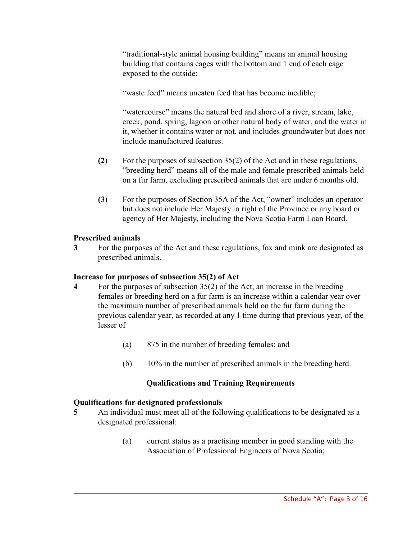"traditional-style animal housing building" means an animal housing building that contains cages with the bottom and 1 end of each cage exposed to the outside;

"waste feed" means uneaten feed that has become inedible;

"watercourse" means the natural bed and shore of a river, stream, lake, creek, pond, spring, lagoon or other natural body of water, and the water in it, whether it contains water or not, and includes groundwater but does not include manufactured features.

- **(2)** For the purposes of subsection 35(2) of the Act and in these regulations, "breeding herd" means all of the male and female prescribed animals held on a fur farm, excluding prescribed animals that are under 6 months old.
- **(3)** For the purposes of Section 35A of the Act, "owner" includes an operator but does not include Her Majesty in right of the Province or any board or agency of Her Majesty, including the Nova Scotia Farm Loan Board.

## **Prescribed animals**

**3** For the purposes of the Act and these regulations, fox and mink are designated as prescribed animals.

# **Increase for purposes of subsection 35(2) of Act**

- **4** For the purposes of subsection 35(2) of the Act, an increase in the breeding females or breeding herd on a fur farm is an increase within a calendar year over the maximum number of prescribed animals held on the fur farm during the previous calendar year, as recorded at any 1 time during that previous year, of the lesser of
	- (a) 875 in the number of breeding females; and
	- (b) 10% in the number of prescribed animals in the breeding herd.

# **Qualifications and Training Requirements**

# **Qualifications for designated professionals**

- **5** An individual must meet all of the following qualifications to be designated as a designated professional:
	- (a) current status as a practising member in good standing with the Association of Professional Engineers of Nova Scotia;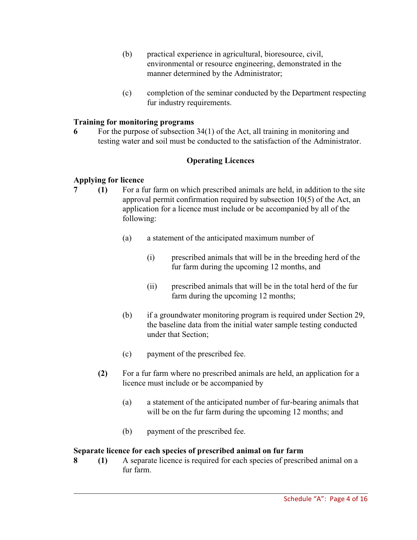- (b) practical experience in agricultural, bioresource, civil, environmental or resource engineering, demonstrated in the manner determined by the Administrator;
- (c) completion of the seminar conducted by the Department respecting fur industry requirements.

## **Training for monitoring programs**

**6** For the purpose of subsection 34(1) of the Act, all training in monitoring and testing water and soil must be conducted to the satisfaction of the Administrator.

## **Operating Licences**

## **Applying for licence**

- **7 (1)** For a fur farm on which prescribed animals are held, in addition to the site approval permit confirmation required by subsection 10(5) of the Act, an application for a licence must include or be accompanied by all of the following:
	- (a) a statement of the anticipated maximum number of
		- (i) prescribed animals that will be in the breeding herd of the fur farm during the upcoming 12 months, and
		- (ii) prescribed animals that will be in the total herd of the fur farm during the upcoming 12 months;
	- (b) if a groundwater monitoring program is required under Section 29, the baseline data from the initial water sample testing conducted under that Section;
	- (c) payment of the prescribed fee.
	- **(2)** For a fur farm where no prescribed animals are held, an application for a licence must include or be accompanied by
		- (a) a statement of the anticipated number of fur-bearing animals that will be on the fur farm during the upcoming 12 months; and
		- (b) payment of the prescribed fee.

## **Separate licence for each species of prescribed animal on fur farm**

**8 (1)** A separate licence is required for each species of prescribed animal on a fur farm.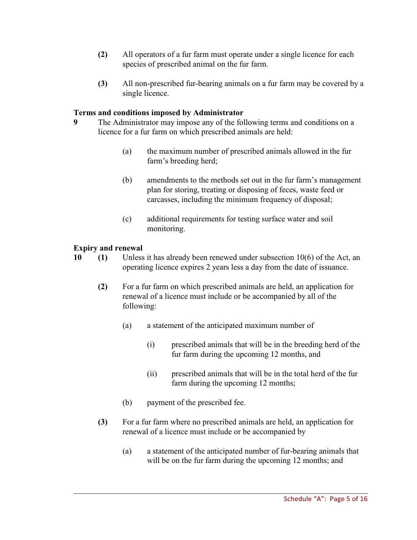- **(2)** All operators of a fur farm must operate under a single licence for each species of prescribed animal on the fur farm.
- **(3)** All non-prescribed fur-bearing animals on a fur farm may be covered by a single licence.

## **Terms and conditions imposed by Administrator**

- **9** The Administrator may impose any of the following terms and conditions on a licence for a fur farm on which prescribed animals are held:
	- (a) the maximum number of prescribed animals allowed in the fur farm's breeding herd;
	- (b) amendments to the methods set out in the fur farm's management plan for storing, treating or disposing of feces, waste feed or carcasses, including the minimum frequency of disposal;
	- (c) additional requirements for testing surface water and soil monitoring.

## **Expiry and renewal**

- **10 (1)** Unless it has already been renewed under subsection 10(6) of the Act, an operating licence expires 2 years less a day from the date of issuance.
	- **(2)** For a fur farm on which prescribed animals are held, an application for renewal of a licence must include or be accompanied by all of the following:
		- (a) a statement of the anticipated maximum number of
			- (i) prescribed animals that will be in the breeding herd of the fur farm during the upcoming 12 months, and
			- (ii) prescribed animals that will be in the total herd of the fur farm during the upcoming 12 months;
		- (b) payment of the prescribed fee.
	- **(3)** For a fur farm where no prescribed animals are held, an application for renewal of a licence must include or be accompanied by
		- (a) a statement of the anticipated number of fur-bearing animals that will be on the fur farm during the upcoming 12 months; and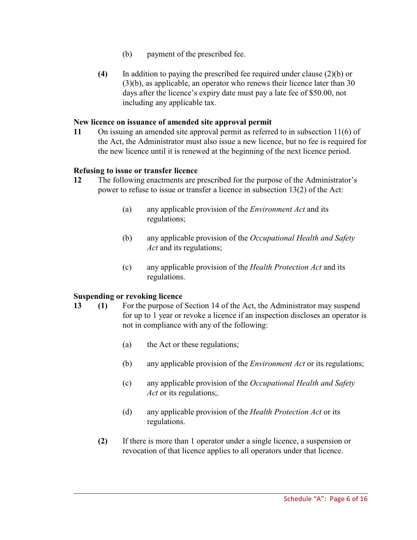- (b) payment of the prescribed fee.
- **(4)** In addition to paying the prescribed fee required under clause (2)(b) or (3)(b), as applicable, an operator who renews their licence later than 30 days after the licence's expiry date must pay a late fee of \$50.00, not including any applicable tax.

#### **New licence on issuance of amended site approval permit**

**11** On issuing an amended site approval permit as referred to in subsection 11(6) of the Act, the Administrator must also issue a new licence, but no fee is required for the new licence until it is renewed at the beginning of the next licence period.

#### **Refusing to issue or transfer licence**

- **12** The following enactments are prescribed for the purpose of the Administrator's power to refuse to issue or transfer a licence in subsection 13(2) of the Act:
	- (a) any applicable provision of the *Environment Act* and its regulations;
	- (b) any applicable provision of the *Occupational Health and Safety Act* and its regulations;
	- (c) any applicable provision of the *Health Protection Act* and its regulations.

## **Suspending or revoking licence**

- **13 (1)** For the purpose of Section 14 of the Act, the Administrator may suspend for up to 1 year or revoke a licence if an inspection discloses an operator is not in compliance with any of the following:
	- (a) the Act or these regulations;
	- (b) any applicable provision of the *Environment Act* or its regulations;
	- (c) any applicable provision of the *Occupational Health and Safety Act* or its regulations;.
	- (d) any applicable provision of the *Health Protection Act* or its regulations.
	- **(2)** If there is more than 1 operator under a single licence, a suspension or revocation of that licence applies to all operators under that licence.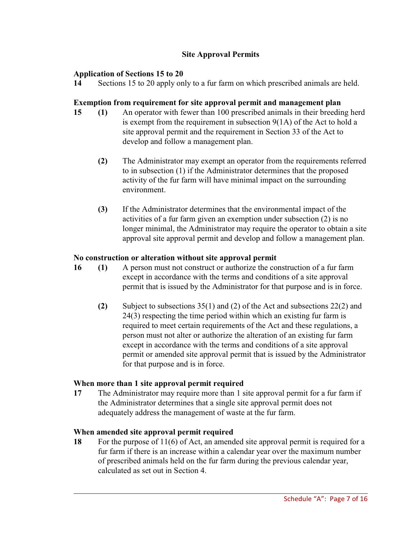## **Site Approval Permits**

## **Application of Sections 15 to 20**

**14** Sections 15 to 20 apply only to a fur farm on which prescribed animals are held.

#### **Exemption from requirement for site approval permit and management plan**

- **15 (1)** An operator with fewer than 100 prescribed animals in their breeding herd is exempt from the requirement in subsection 9(1A) of the Act to hold a site approval permit and the requirement in Section 33 of the Act to develop and follow a management plan.
	- **(2)** The Administrator may exempt an operator from the requirements referred to in subsection (1) if the Administrator determines that the proposed activity of the fur farm will have minimal impact on the surrounding environment.
	- **(3)** If the Administrator determines that the environmental impact of the activities of a fur farm given an exemption under subsection (2) is no longer minimal, the Administrator may require the operator to obtain a site approval site approval permit and develop and follow a management plan.

## **No construction or alteration without site approval permit**

- **16 (1)** A person must not construct or authorize the construction of a fur farm except in accordance with the terms and conditions of a site approval permit that is issued by the Administrator for that purpose and is in force.
	- **(2)** Subject to subsections 35(1) and (2) of the Act and subsections 22(2) and 24(3) respecting the time period within which an existing fur farm is required to meet certain requirements of the Act and these regulations, a person must not alter or authorize the alteration of an existing fur farm except in accordance with the terms and conditions of a site approval permit or amended site approval permit that is issued by the Administrator for that purpose and is in force.

## **When more than 1 site approval permit required**

**17** The Administrator may require more than 1 site approval permit for a fur farm if the Administrator determines that a single site approval permit does not adequately address the management of waste at the fur farm.

## **When amended site approval permit required**

**18** For the purpose of 11(6) of Act, an amended site approval permit is required for a fur farm if there is an increase within a calendar year over the maximum number of prescribed animals held on the fur farm during the previous calendar year, calculated as set out in Section 4.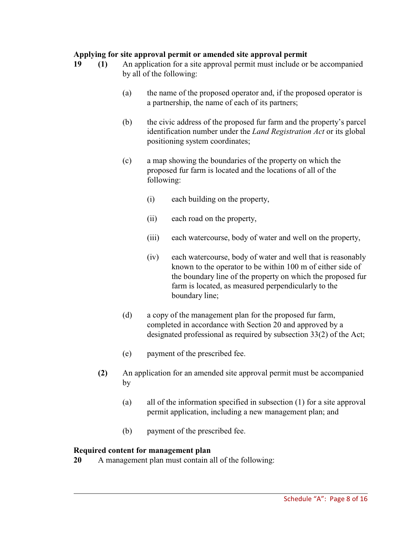## **Applying for site approval permit or amended site approval permit**

- **19 (1)** An application for a site approval permit must include or be accompanied by all of the following:
	- (a) the name of the proposed operator and, if the proposed operator is a partnership, the name of each of its partners;
	- (b) the civic address of the proposed fur farm and the property's parcel identification number under the *Land Registration Act* or its global positioning system coordinates;
	- (c) a map showing the boundaries of the property on which the proposed fur farm is located and the locations of all of the following:
		- (i) each building on the property,
		- (ii) each road on the property,
		- (iii) each watercourse, body of water and well on the property,
		- (iv) each watercourse, body of water and well that is reasonably known to the operator to be within 100 m of either side of the boundary line of the property on which the proposed fur farm is located, as measured perpendicularly to the boundary line;
	- (d) a copy of the management plan for the proposed fur farm, completed in accordance with Section 20 and approved by a designated professional as required by subsection 33(2) of the Act;
	- (e) payment of the prescribed fee.
	- **(2)** An application for an amended site approval permit must be accompanied by
		- (a) all of the information specified in subsection (1) for a site approval permit application, including a new management plan; and
		- (b) payment of the prescribed fee.

## **Required content for management plan**

**20** A management plan must contain all of the following: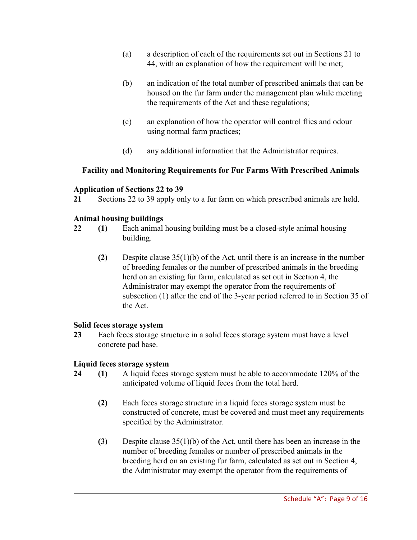- (a) a description of each of the requirements set out in Sections 21 to 44, with an explanation of how the requirement will be met;
- (b) an indication of the total number of prescribed animals that can be housed on the fur farm under the management plan while meeting the requirements of the Act and these regulations;
- (c) an explanation of how the operator will control flies and odour using normal farm practices;
- (d) any additional information that the Administrator requires.

## **Facility and Monitoring Requirements for Fur Farms With Prescribed Animals**

## **Application of Sections 22 to 39**

**21** Sections 22 to 39 apply only to a fur farm on which prescribed animals are held.

## **Animal housing buildings**

- **22 (1)** Each animal housing building must be a closed-style animal housing building.
	- **(2)** Despite clause 35(1)(b) of the Act, until there is an increase in the number of breeding females or the number of prescribed animals in the breeding herd on an existing fur farm, calculated as set out in Section 4, the Administrator may exempt the operator from the requirements of subsection (1) after the end of the 3-year period referred to in Section 35 of the Act.

## **Solid feces storage system**

**23** Each feces storage structure in a solid feces storage system must have a level concrete pad base.

## **Liquid feces storage system**

- **24 (1)** A liquid feces storage system must be able to accommodate 120% of the anticipated volume of liquid feces from the total herd.
	- **(2)** Each feces storage structure in a liquid feces storage system must be constructed of concrete, must be covered and must meet any requirements specified by the Administrator.
	- **(3)** Despite clause 35(1)(b) of the Act, until there has been an increase in the number of breeding females or number of prescribed animals in the breeding herd on an existing fur farm, calculated as set out in Section 4, the Administrator may exempt the operator from the requirements of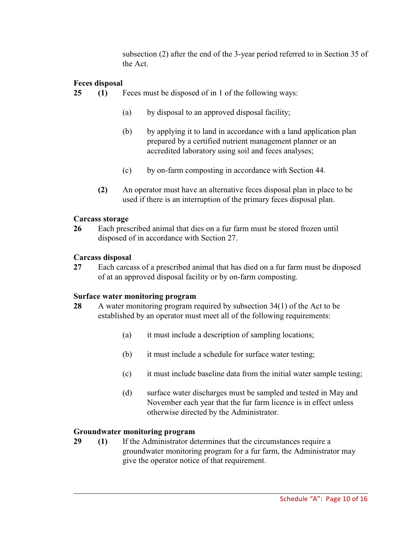subsection (2) after the end of the 3-year period referred to in Section 35 of the Act.

# **Feces disposal**

- **25 (1)** Feces must be disposed of in 1 of the following ways:
	- (a) by disposal to an approved disposal facility;
	- (b) by applying it to land in accordance with a land application plan prepared by a certified nutrient management planner or an accredited laboratory using soil and feces analyses;
	- (c) by on-farm composting in accordance with Section 44.
	- **(2)** An operator must have an alternative feces disposal plan in place to be used if there is an interruption of the primary feces disposal plan.

## **Carcass storage**

**26** Each prescribed animal that dies on a fur farm must be stored frozen until disposed of in accordance with Section 27.

## **Carcass disposal**

**27** Each carcass of a prescribed animal that has died on a fur farm must be disposed of at an approved disposal facility or by on-farm composting.

## **Surface water monitoring program**

- **28** A water monitoring program required by subsection 34(1) of the Act to be established by an operator must meet all of the following requirements:
	- (a) it must include a description of sampling locations;
	- (b) it must include a schedule for surface water testing;
	- (c) it must include baseline data from the initial water sample testing;
	- (d) surface water discharges must be sampled and tested in May and November each year that the fur farm licence is in effect unless otherwise directed by the Administrator.

## **Groundwater monitoring program**

**29 (1)** If the Administrator determines that the circumstances require a groundwater monitoring program for a fur farm, the Administrator may give the operator notice of that requirement.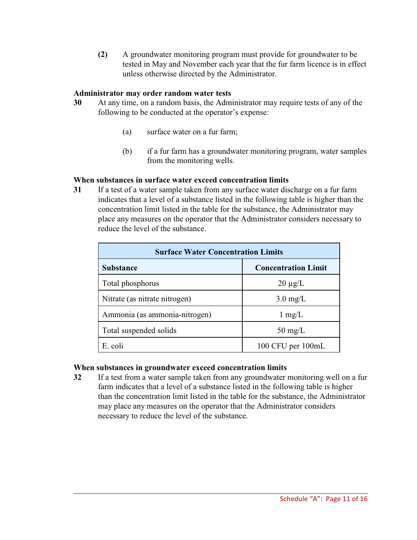**(2)** A groundwater monitoring program must provide for groundwater to be tested in May and November each year that the fur farm licence is in effect unless otherwise directed by the Administrator.

#### **Administrator may order random water tests**

- **30** At any time, on a random basis, the Administrator may require tests of any of the following to be conducted at the operator's expense:
	- (a) surface water on a fur farm;
	- (b) if a fur farm has a groundwater monitoring program, water samples from the monitoring wells.

#### **When substances in surface water exceed concentration limits**

**31** If a test of a water sample taken from any surface water discharge on a fur farm indicates that a level of a substance listed in the following table is higher than the concentration limit listed in the table for the substance, the Administrator may place any measures on the operator that the Administrator considers necessary to reduce the level of the substance.

| <b>Surface Water Concentration Limits</b> |                            |  |  |
|-------------------------------------------|----------------------------|--|--|
| <b>Substance</b>                          | <b>Concentration Limit</b> |  |  |
| Total phosphorus                          | $20 \mu g/L$               |  |  |
| Nitrate (as nitrate nitrogen)             | $3.0 \text{ mg/L}$         |  |  |
| Ammonia (as ammonia-nitrogen)             | $1 \text{ mg/L}$           |  |  |
| Total suspended solids                    | $50 \text{ mg/L}$          |  |  |
| E. coli                                   | 100 CFU per 100mL          |  |  |

## **When substances in groundwater exceed concentration limits**

**32** If a test from a water sample taken from any groundwater monitoring well on a fur farm indicates that a level of a substance listed in the following table is higher than the concentration limit listed in the table for the substance, the Administrator may place any measures on the operator that the Administrator considers necessary to reduce the level of the substance.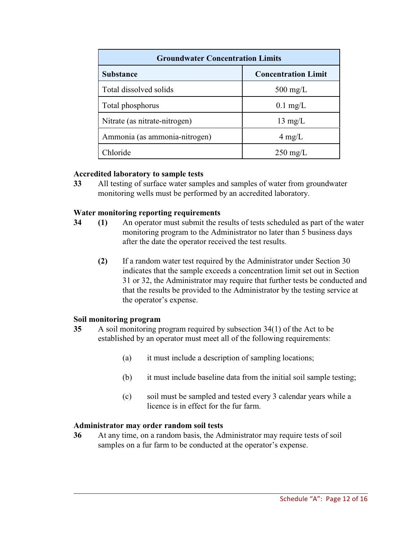| <b>Groundwater Concentration Limits</b> |                            |  |  |
|-----------------------------------------|----------------------------|--|--|
| <b>Substance</b>                        | <b>Concentration Limit</b> |  |  |
| Total dissolved solids                  | $500 \text{ mg/L}$         |  |  |
| Total phosphorus                        | $0.1$ mg/L                 |  |  |
| Nitrate (as nitrate-nitrogen)           | $13 \text{ mg/L}$          |  |  |
| Ammonia (as ammonia-nitrogen)           | $4 \text{ mg/L}$           |  |  |
| Chloride                                | $250 \text{ mg/L}$         |  |  |

#### **Accredited laboratory to sample tests**

**33** All testing of surface water samples and samples of water from groundwater monitoring wells must be performed by an accredited laboratory.

#### **Water monitoring reporting requirements**

- **34 (1)** An operator must submit the results of tests scheduled as part of the water monitoring program to the Administrator no later than 5 business days after the date the operator received the test results.
	- **(2)** If a random water test required by the Administrator under Section 30 indicates that the sample exceeds a concentration limit set out in Section 31 or 32, the Administrator may require that further tests be conducted and that the results be provided to the Administrator by the testing service at the operator's expense.

#### **Soil monitoring program**

- **35** A soil monitoring program required by subsection 34(1) of the Act to be established by an operator must meet all of the following requirements:
	- (a) it must include a description of sampling locations;
	- (b) it must include baseline data from the initial soil sample testing;
	- (c) soil must be sampled and tested every 3 calendar years while a licence is in effect for the fur farm.

## **Administrator may order random soil tests**

**36** At any time, on a random basis, the Administrator may require tests of soil samples on a fur farm to be conducted at the operator's expense.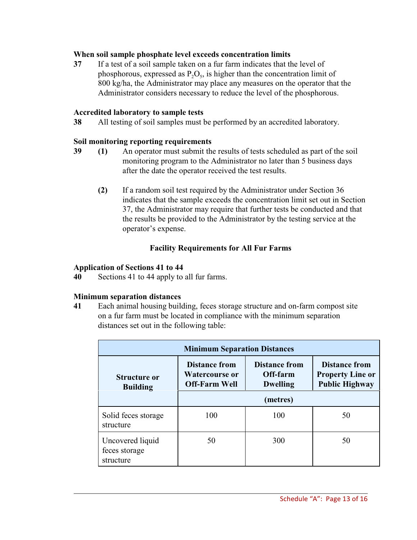## **When soil sample phosphate level exceeds concentration limits**

**37** If a test of a soil sample taken on a fur farm indicates that the level of phosphorous, expressed as  $P_2O_5$ , is higher than the concentration limit of 800 kg/ha, the Administrator may place any measures on the operator that the Administrator considers necessary to reduce the level of the phosphorous.

#### **Accredited laboratory to sample tests**

**38** All testing of soil samples must be performed by an accredited laboratory.

## **Soil monitoring reporting requirements**

- **39 (1)** An operator must submit the results of tests scheduled as part of the soil monitoring program to the Administrator no later than 5 business days after the date the operator received the test results.
	- **(2)** If a random soil test required by the Administrator under Section 36 indicates that the sample exceeds the concentration limit set out in Section 37, the Administrator may require that further tests be conducted and that the results be provided to the Administrator by the testing service at the operator's expense.

## **Facility Requirements for All Fur Farms**

#### **Application of Sections 41 to 44**

**40** Sections 41 to 44 apply to all fur farms.

## **Minimum separation distances**

**41** Each animal housing building, feces storage structure and on-farm compost site on a fur farm must be located in compliance with the minimum separation distances set out in the following table:

| <b>Minimum Separation Distances</b>            |                                                                       |                                                     |                                                                          |  |
|------------------------------------------------|-----------------------------------------------------------------------|-----------------------------------------------------|--------------------------------------------------------------------------|--|
| <b>Structure or</b><br><b>Building</b>         | <b>Distance from</b><br><b>Watercourse or</b><br><b>Off-Farm Well</b> | <b>Distance from</b><br>Off-farm<br><b>Dwelling</b> | <b>Distance from</b><br><b>Property Line or</b><br><b>Public Highway</b> |  |
|                                                | (metres)                                                              |                                                     |                                                                          |  |
| Solid feces storage<br>structure               | 100                                                                   | 100                                                 | 50                                                                       |  |
| Uncovered liquid<br>feces storage<br>structure | 50                                                                    | 300                                                 | 50                                                                       |  |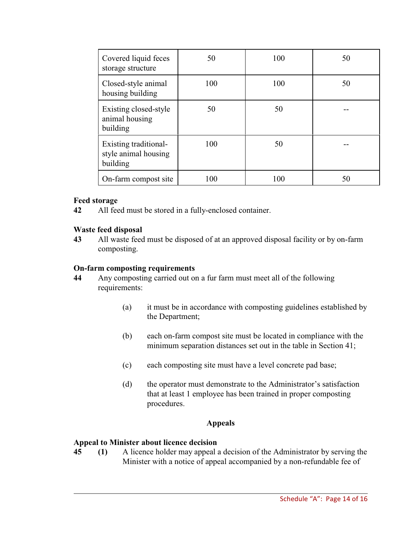| Covered liquid feces<br>storage structure                 | 50  | 100 | 50 |
|-----------------------------------------------------------|-----|-----|----|
| Closed-style animal<br>housing building                   | 100 | 100 | 50 |
| Existing closed-style<br>animal housing<br>building       | 50  | 50  |    |
| Existing traditional-<br>style animal housing<br>building | 100 | 50  |    |
| On-farm compost site                                      | 100 | 100 | 50 |

## **Feed storage**

**42** All feed must be stored in a fully-enclosed container.

## **Waste feed disposal**

**43** All waste feed must be disposed of at an approved disposal facility or by on-farm composting.

#### **On-farm composting requirements**

- **44** Any composting carried out on a fur farm must meet all of the following requirements:
	- (a) it must be in accordance with composting guidelines established by the Department;
	- (b) each on-farm compost site must be located in compliance with the minimum separation distances set out in the table in Section 41;
	- (c) each composting site must have a level concrete pad base;
	- (d) the operator must demonstrate to the Administrator's satisfaction that at least 1 employee has been trained in proper composting procedures.

#### **Appeals**

#### **Appeal to Minister about licence decision**

**45 (1)** A licence holder may appeal a decision of the Administrator by serving the Minister with a notice of appeal accompanied by a non-refundable fee of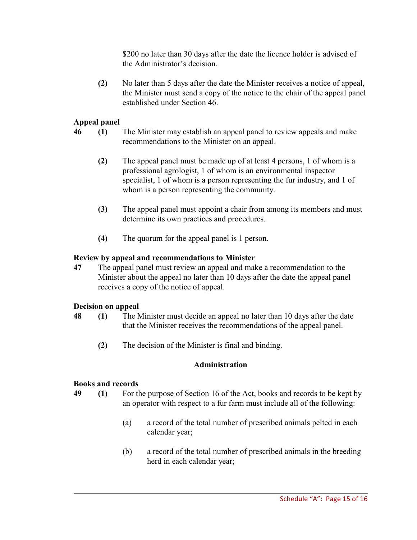\$200 no later than 30 days after the date the licence holder is advised of the Administrator's decision.

**(2)** No later than 5 days after the date the Minister receives a notice of appeal, the Minister must send a copy of the notice to the chair of the appeal panel established under Section 46.

## **Appeal panel**

- **46 (1)** The Minister may establish an appeal panel to review appeals and make recommendations to the Minister on an appeal.
	- **(2)** The appeal panel must be made up of at least 4 persons, 1 of whom is a professional agrologist, 1 of whom is an environmental inspector specialist, 1 of whom is a person representing the fur industry, and 1 of whom is a person representing the community.
	- **(3)** The appeal panel must appoint a chair from among its members and must determine its own practices and procedures.
	- **(4)** The quorum for the appeal panel is 1 person.

# **Review by appeal and recommendations to Minister**

**47** The appeal panel must review an appeal and make a recommendation to the Minister about the appeal no later than 10 days after the date the appeal panel receives a copy of the notice of appeal.

# **Decision on appeal**

- **48 (1)** The Minister must decide an appeal no later than 10 days after the date that the Minister receives the recommendations of the appeal panel.
	- **(2)** The decision of the Minister is final and binding.

# **Administration**

# **Books and records**

- **49 (1)** For the purpose of Section 16 of the Act, books and records to be kept by an operator with respect to a fur farm must include all of the following:
	- (a) a record of the total number of prescribed animals pelted in each calendar year;
	- (b) a record of the total number of prescribed animals in the breeding herd in each calendar year;